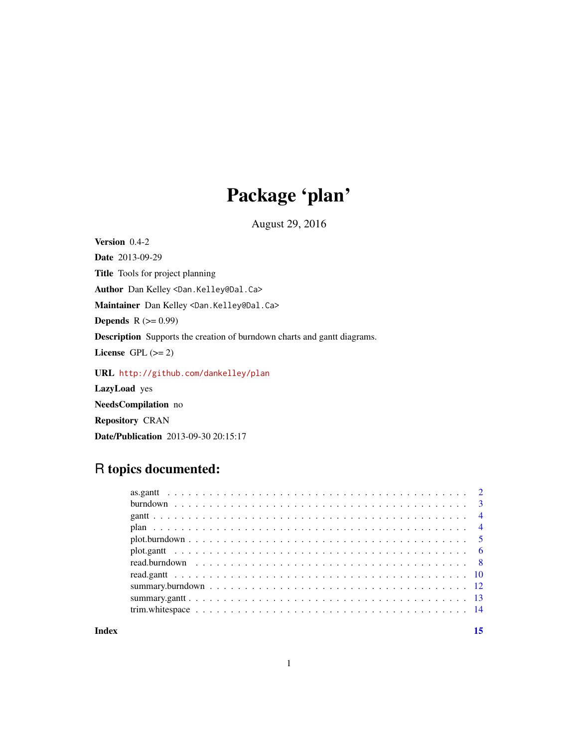## Package 'plan'

August 29, 2016

<span id="page-0-0"></span>Version 0.4-2 Date 2013-09-29 Title Tools for project planning Author Dan Kelley <Dan.Kelley@Dal.Ca> Maintainer Dan Kelley <Dan.Kelley@Dal.Ca> **Depends**  $R$  ( $>= 0.99$ ) Description Supports the creation of burndown charts and gantt diagrams. License GPL  $(>= 2)$ URL <http://github.com/dankelley/plan> LazyLoad yes NeedsCompilation no

# R topics documented:

Date/Publication 2013-09-30 20:15:17

Repository CRAN

**Index** [15](#page-14-0)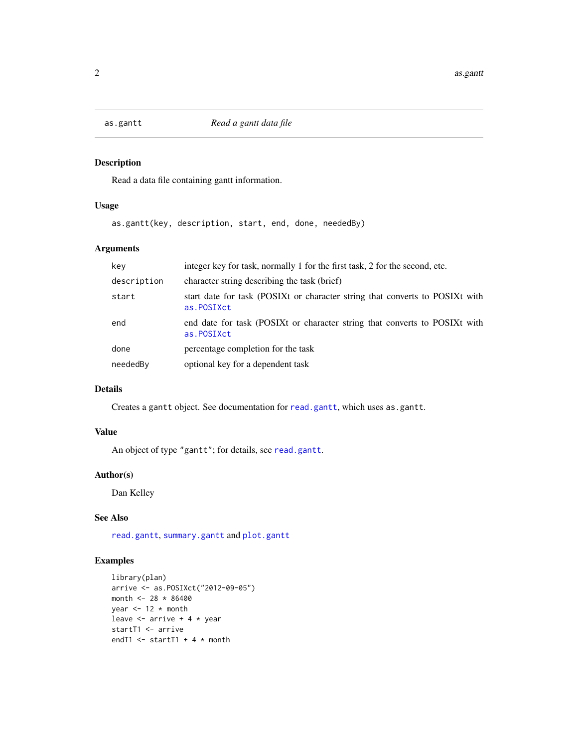<span id="page-1-0"></span>

Read a data file containing gantt information.

#### Usage

as.gantt(key, description, start, end, done, neededBy)

#### Arguments

| key         | integer key for task, normally 1 for the first task, 2 for the second, etc.                |
|-------------|--------------------------------------------------------------------------------------------|
| description | character string describing the task (brief)                                               |
| start       | start date for task (POSIXt or character string that converts to POSIXt with<br>as.POSIXct |
| end         | end date for task (POSIXt or character string that converts to POSIXt with<br>as.POSIXct   |
| done        | percentage completion for the task                                                         |
| neededBy    | optional key for a dependent task                                                          |

#### Details

Creates a gantt object. See documentation for [read.gantt](#page-9-1), which uses as.gantt.

#### Value

An object of type "gantt"; for details, see [read.gantt](#page-9-1).

#### Author(s)

Dan Kelley

#### See Also

[read.gantt](#page-9-1), [summary.gantt](#page-12-1) and [plot.gantt](#page-5-1)

```
library(plan)
arrive <- as.POSIXct("2012-09-05")
month <- 28 * 86400
year <-12 * month
leave \leq arrive + 4 \star year
startT1 <- arrive
endT1 \le startT1 + 4 \star month
```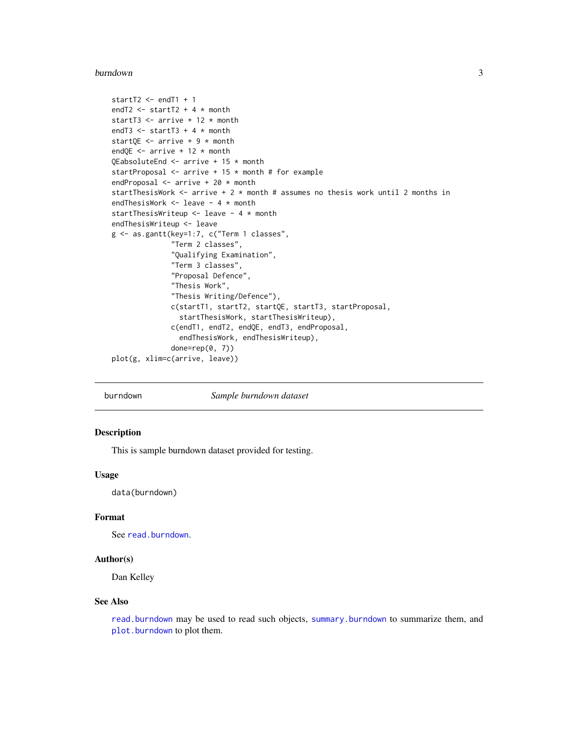#### <span id="page-2-0"></span>burndown 3

```
startT2 <- endT1 + 1
endT2 \le startT2 + 4 \star month
startT3 <- arrive + 12 * month
endT3 \le startT3 + 4 \star month
startQE <- arrive + 9 * month
endQE \leq arrive + 12 \star month
QEabsoluteEnd <- arrive + 15 * month
startProposal <- arrive + 15 * month # for example
endProposal <- arrive + 20 * month
startThesisWork \leq arrive + 2 \star month # assumes no thesis work until 2 months in
endThesisWork <- leave - 4 * month
startThesisWriteup <- leave - 4 * month
endThesisWriteup <- leave
g <- as.gantt(key=1:7, c("Term 1 classes",
              "Term 2 classes",
              "Qualifying Examination",
              "Term 3 classes",
              "Proposal Defence",
              "Thesis Work",
              "Thesis Writing/Defence"),
              c(startT1, startT2, startQE, startT3, startProposal,
                startThesisWork, startThesisWriteup),
              c(endT1, endT2, endQE, endT3, endProposal,
                endThesisWork, endThesisWriteup),
              done=rep(0, 7))
plot(g, xlim=c(arrive, leave))
```

```
burndown Sample burndown dataset
```
#### Description

This is sample burndown dataset provided for testing.

#### Usage

data(burndown)

#### Format

See [read.burndown](#page-7-1).

#### Author(s)

Dan Kelley

#### See Also

[read.burndown](#page-7-1) may be used to read such objects, [summary.burndown](#page-11-1) to summarize them, and [plot.burndown](#page-4-1) to plot them.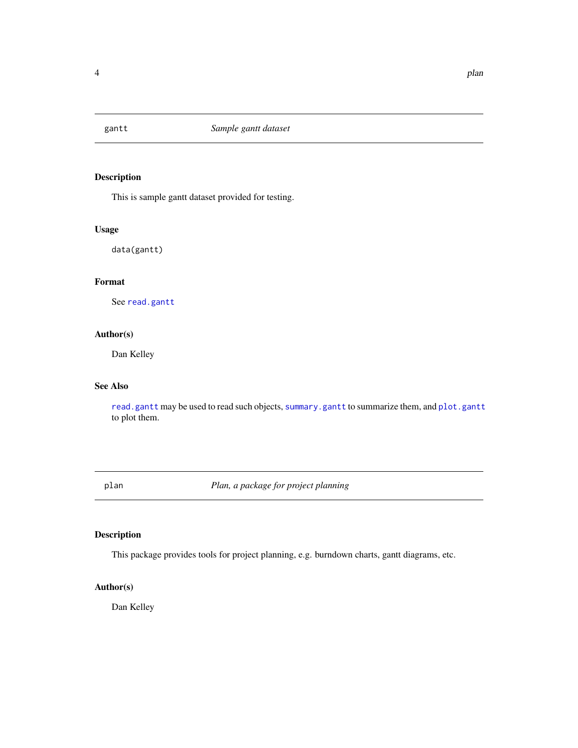<span id="page-3-0"></span>

This is sample gantt dataset provided for testing.

#### Usage

data(gantt)

#### Format

See [read.gantt](#page-9-1)

#### Author(s)

Dan Kelley

#### See Also

[read.gantt](#page-9-1) may be used to read such objects, [summary.gantt](#page-12-1) to summarize them, and [plot.gantt](#page-5-1) to plot them.

plan *Plan, a package for project planning*

#### Description

This package provides tools for project planning, e.g. burndown charts, gantt diagrams, etc.

### Author(s)

Dan Kelley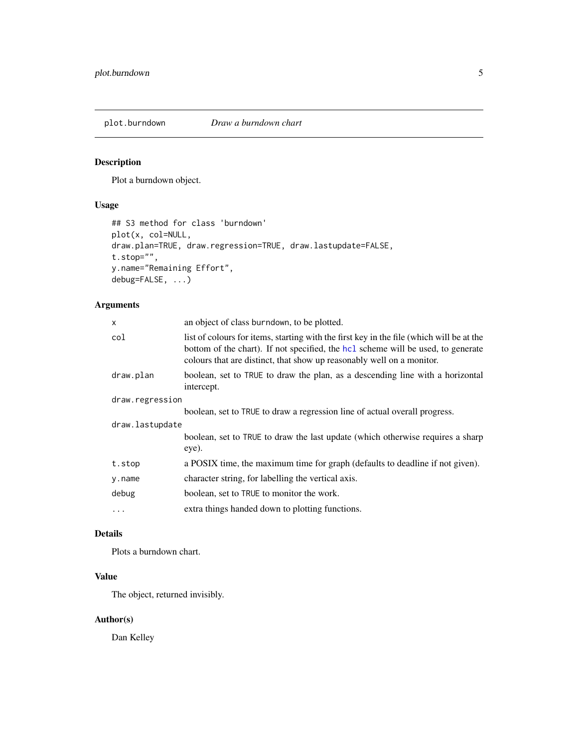<span id="page-4-1"></span><span id="page-4-0"></span>

Plot a burndown object.

#### Usage

```
## S3 method for class 'burndown'
plot(x, col=NULL,
draw.plan=TRUE, draw.regression=TRUE, draw.lastupdate=FALSE,
t.stop="",
y.name="Remaining Effort",
debug=FALSE, ...)
```
#### Arguments

| x               | an object of class burndown, to be plotted.                                                                                                                                                                                                           |  |
|-----------------|-------------------------------------------------------------------------------------------------------------------------------------------------------------------------------------------------------------------------------------------------------|--|
| col             | list of colours for items, starting with the first key in the file (which will be at the<br>bottom of the chart). If not specified, the hcl scheme will be used, to generate<br>colours that are distinct, that show up reasonably well on a monitor. |  |
| draw.plan       | boolean, set to TRUE to draw the plan, as a descending line with a horizontal<br>intercept.                                                                                                                                                           |  |
| draw.regression |                                                                                                                                                                                                                                                       |  |
|                 | boolean, set to TRUE to draw a regression line of actual overall progress.                                                                                                                                                                            |  |
| draw.lastupdate |                                                                                                                                                                                                                                                       |  |
|                 | boolean, set to TRUE to draw the last update (which otherwise requires a sharp<br>eye).                                                                                                                                                               |  |
| t.stop          | a POSIX time, the maximum time for graph (defaults to deadline if not given).                                                                                                                                                                         |  |
| y.name          | character string, for labelling the vertical axis.                                                                                                                                                                                                    |  |
| debug           | boolean, set to TRUE to monitor the work.                                                                                                                                                                                                             |  |
| $\ddots$        | extra things handed down to plotting functions.                                                                                                                                                                                                       |  |
|                 |                                                                                                                                                                                                                                                       |  |

#### Details

Plots a burndown chart.

#### Value

The object, returned invisibly.

#### Author(s)

Dan Kelley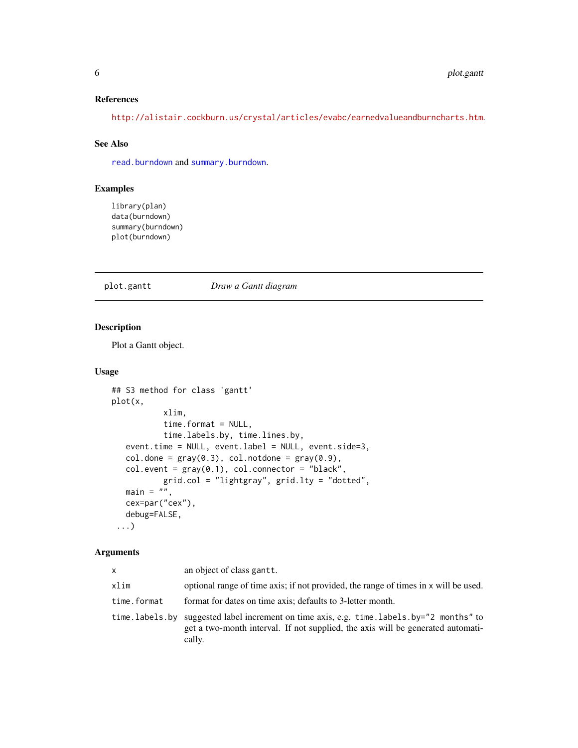#### <span id="page-5-0"></span>References

<http://alistair.cockburn.us/crystal/articles/evabc/earnedvalueandburncharts.htm>.

#### See Also

[read.burndown](#page-7-1) and [summary.burndown](#page-11-1).

#### Examples

library(plan) data(burndown) summary(burndown) plot(burndown)

#### <span id="page-5-1"></span>plot.gantt *Draw a Gantt diagram*

#### Description

Plot a Gantt object.

#### Usage

```
## S3 method for class 'gantt'
plot(x,
           xlim,
           time.format = NULL,
           time.labels.by, time.lines.by,
  event.time = NULL, event.label = NULL, event.side=3,
  col.done = gray(0.3), col.notdone = gray(0.9),
  col.event = gray(0.1), col.concurrent' = "black",grid.col = "lightgray", grid.lty = "dotted",
  main = "cex=par("cex"),
  debug=FALSE,
 ...)
```
#### Arguments

| X           | an object of class gantt.                                                                                                                                                             |
|-------------|---------------------------------------------------------------------------------------------------------------------------------------------------------------------------------------|
| xlim        | optional range of time axis; if not provided, the range of times in x will be used.                                                                                                   |
| time.format | format for dates on time axis; defaults to 3-letter month.                                                                                                                            |
|             | time.labels.by suggested label increment on time axis, e.g. time.labels.by="2 months" to<br>get a two-month interval. If not supplied, the axis will be generated automati-<br>cally. |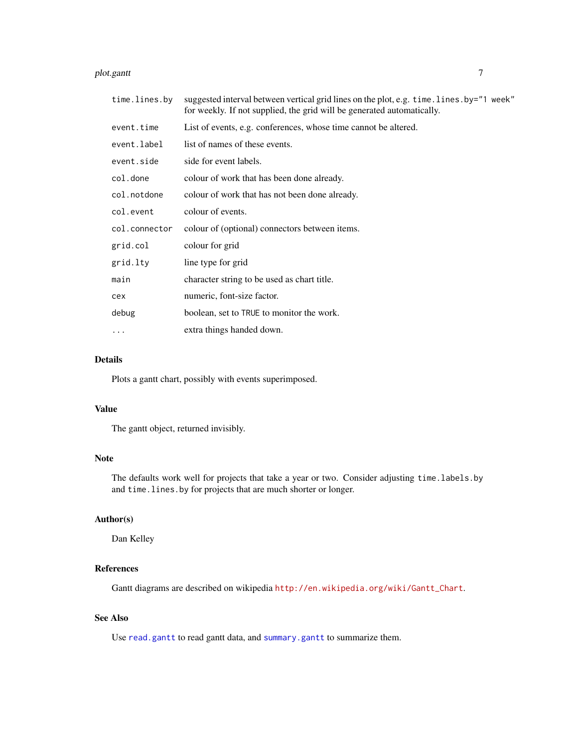#### <span id="page-6-0"></span>plot.gantt 7

| time.lines.by | suggested interval between vertical grid lines on the plot, e.g. time. lines. by="1 week"<br>for weekly. If not supplied, the grid will be generated automatically. |
|---------------|---------------------------------------------------------------------------------------------------------------------------------------------------------------------|
| event.time    | List of events, e.g. conferences, whose time cannot be altered.                                                                                                     |
| event.label   | list of names of these events.                                                                                                                                      |
| event.side    | side for event labels.                                                                                                                                              |
| col.done      | colour of work that has been done already.                                                                                                                          |
| col.notdone   | colour of work that has not been done already.                                                                                                                      |
| col.event     | colour of events.                                                                                                                                                   |
| col.connector | colour of (optional) connectors between items.                                                                                                                      |
| grid.col      | colour for grid                                                                                                                                                     |
| grid.lty      | line type for grid                                                                                                                                                  |
| main          | character string to be used as chart title.                                                                                                                         |
| cex           | numeric, font-size factor.                                                                                                                                          |
| debug         | boolean, set to TRUE to monitor the work.                                                                                                                           |
| $\cdots$      | extra things handed down.                                                                                                                                           |
|               |                                                                                                                                                                     |

#### Details

Plots a gantt chart, possibly with events superimposed.

#### Value

The gantt object, returned invisibly.

#### Note

The defaults work well for projects that take a year or two. Consider adjusting time.labels.by and time.lines.by for projects that are much shorter or longer.

#### Author(s)

Dan Kelley

#### References

Gantt diagrams are described on wikipedia [http://en.wikipedia.org/wiki/Gantt\\_Chart](http://en.wikipedia.org/wiki/Gantt_Chart).

#### See Also

Use [read.gantt](#page-9-1) to read gantt data, and [summary.gantt](#page-12-1) to summarize them.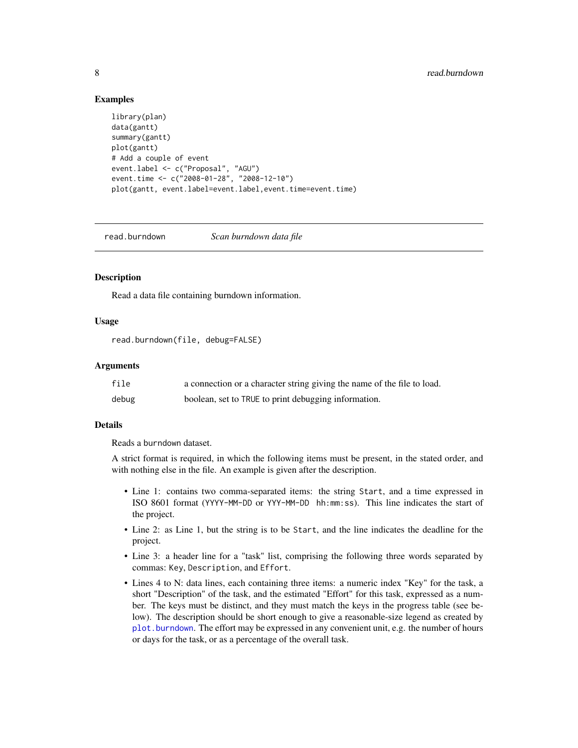#### Examples

```
library(plan)
data(gantt)
summary(gantt)
plot(gantt)
# Add a couple of event
event.label <- c("Proposal", "AGU")
event.time <- c("2008-01-28", "2008-12-10")
plot(gantt, event.label=event.label,event.time=event.time)
```
<span id="page-7-1"></span>read.burndown *Scan burndown data file*

#### **Description**

Read a data file containing burndown information.

#### Usage

```
read.burndown(file, debug=FALSE)
```
#### Arguments

| file  | a connection or a character string giving the name of the file to load. |
|-------|-------------------------------------------------------------------------|
| debug | boolean, set to TRUE to print debugging information.                    |

#### Details

Reads a burndown dataset.

A strict format is required, in which the following items must be present, in the stated order, and with nothing else in the file. An example is given after the description.

- Line 1: contains two comma-separated items: the string Start, and a time expressed in ISO 8601 format (YYYY-MM-DD or YYY-MM-DD hh:mm:ss). This line indicates the start of the project.
- Line 2: as Line 1, but the string is to be Start, and the line indicates the deadline for the project.
- Line 3: a header line for a "task" list, comprising the following three words separated by commas: Key, Description, and Effort.
- Lines 4 to N: data lines, each containing three items: a numeric index "Key" for the task, a short "Description" of the task, and the estimated "Effort" for this task, expressed as a number. The keys must be distinct, and they must match the keys in the progress table (see below). The description should be short enough to give a reasonable-size legend as created by [plot.burndown](#page-4-1). The effort may be expressed in any convenient unit, e.g. the number of hours or days for the task, or as a percentage of the overall task.

<span id="page-7-0"></span>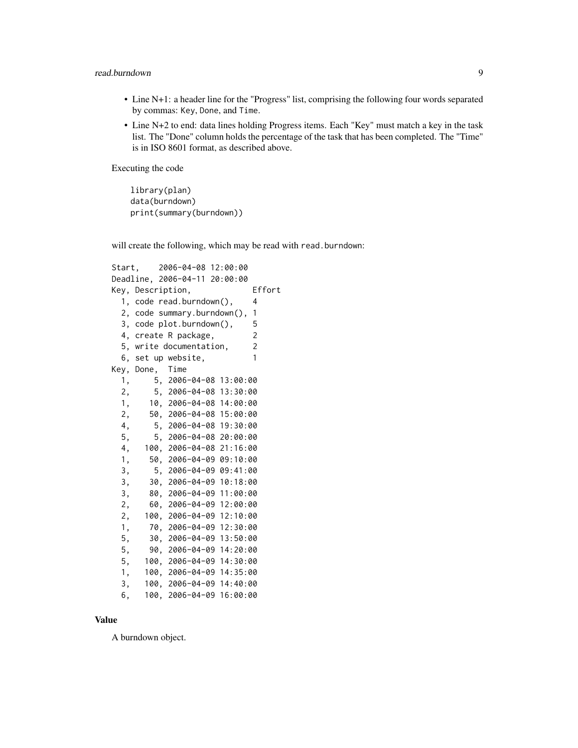#### read.burndown 9

- Line N+1: a header line for the "Progress" list, comprising the following four words separated by commas: Key, Done, and Time.
- Line N+2 to end: data lines holding Progress items. Each "Key" must match a key in the task list. The "Done" column holds the percentage of the task that has been completed. The "Time" is in ISO 8601 format, as described above.

Executing the code

library(plan) data(burndown) print(summary(burndown))

will create the following, which may be read with read.burndown:

```
Start, 2006-04-08 12:00:00
Deadline, 2006-04-11 20:00:00
Key, Description, Effort
 1, code read.burndown(), 4
 2, code summary.burndown(), 1
 3, code plot.burndown(), 5
 4, create R package, 2
 5, write documentation, 2
 6, set up website, 1
Key, Done, Time
 1, 5, 2006-04-08 13:00:00
 2, 5, 2006-04-08 13:30:00
 1, 10, 2006-04-08 14:00:00
 2, 50, 2006-04-08 15:00:00
 4, 5, 2006-04-08 19:30:00
 5, 5, 2006-04-08 20:00:00
 4, 100, 2006-04-08 21:16:00
 1, 50, 2006-04-09 09:10:00
 3, 5, 2006-04-09 09:41:00
 3, 30, 2006-04-09 10:18:00
 3, 80, 2006-04-09 11:00:00
 2, 60, 2006-04-09 12:00:00
 2, 100, 2006-04-09 12:10:00
 1, 70, 2006-04-09 12:30:00
 5, 30, 2006-04-09 13:50:00
 5, 90, 2006-04-09 14:20:00
 5, 100, 2006-04-09 14:30:00
 1, 100, 2006-04-09 14:35:00
 3, 100, 2006-04-09 14:40:00
 6, 100, 2006-04-09 16:00:00
```
#### Value

A burndown object.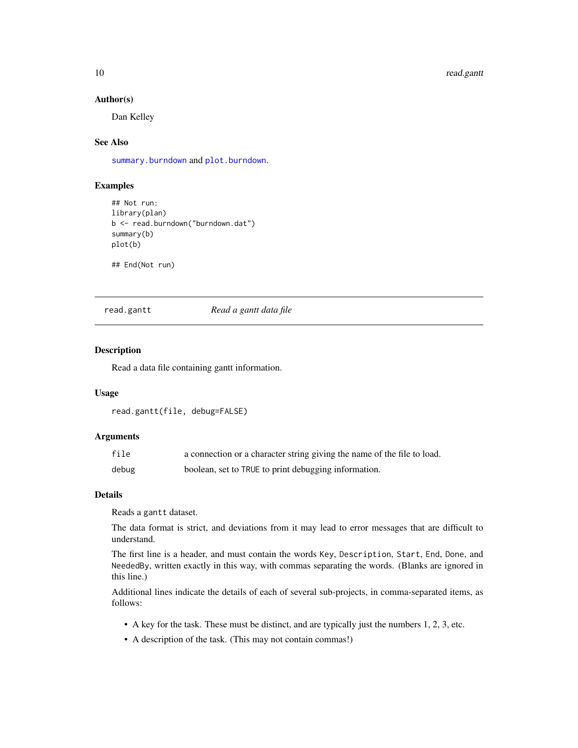#### Author(s)

Dan Kelley

#### See Also

[summary.burndown](#page-11-1) and [plot.burndown](#page-4-1).

#### Examples

```
## Not run:
library(plan)
b <- read.burndown("burndown.dat")
summary(b)
plot(b)
```

```
## End(Not run)
```
#### <span id="page-9-1"></span>read.gantt *Read a gantt data file*

#### Description

Read a data file containing gantt information.

#### Usage

```
read.gantt(file, debug=FALSE)
```
#### Arguments

| file  | a connection or a character string giving the name of the file to load. |
|-------|-------------------------------------------------------------------------|
| debug | boolean, set to TRUE to print debugging information.                    |

#### Details

Reads a gantt dataset.

The data format is strict, and deviations from it may lead to error messages that are difficult to understand.

The first line is a header, and must contain the words Key, Description, Start, End, Done, and NeededBy, written exactly in this way, with commas separating the words. (Blanks are ignored in this line.)

Additional lines indicate the details of each of several sub-projects, in comma-separated items, as follows:

- A key for the task. These must be distinct, and are typically just the numbers 1, 2, 3, etc.
- A description of the task. (This may not contain commas!)

<span id="page-9-0"></span>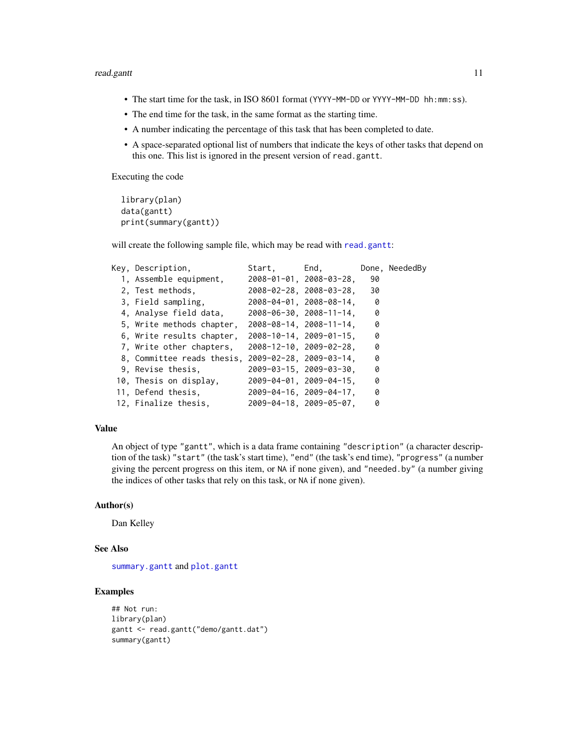#### <span id="page-10-0"></span>read.gantt 11

- The start time for the task, in ISO 8601 format (YYYY-MM-DD or YYYY-MM-DD hh:mm:ss).
- The end time for the task, in the same format as the starting time.
- A number indicating the percentage of this task that has been completed to date.
- A space-separated optional list of numbers that indicate the keys of other tasks that depend on this one. This list is ignored in the present version of read.gantt.

Executing the code

```
library(plan)
data(gantt)
print(summary(gantt))
```
will create the following sample file, which may be read with [read.gantt](#page-9-1):

| Key, Description,                                  | Start, | End,                                  |     | Done, NeededBy |
|----------------------------------------------------|--------|---------------------------------------|-----|----------------|
| 1, Assemble equipment,                             |        | $2008 - 01 - 01$ , $2008 - 03 - 28$ , | 90  |                |
| 2. Test methods.                                   |        | $2008 - 02 - 28$ , $2008 - 03 - 28$ , | 30  |                |
| 3, Field sampling,                                 |        | $2008 - 04 - 01$ , $2008 - 08 - 14$ , | - 0 |                |
| 4, Analyse field data,                             |        | $2008 - 06 - 30$ , $2008 - 11 - 14$ , | - 0 |                |
| 5, Write methods chapter,                          |        | $2008 - 08 - 14$ , $2008 - 11 - 14$ , | 0   |                |
| 6, Write results chapter,                          |        | $2008 - 10 - 14$ , $2009 - 01 - 15$ , | 0   |                |
| 7, Write other chapters,                           |        | $2008 - 12 - 10$ , $2009 - 02 - 28$ , | 0   |                |
| 8, Committee reads thesis, 2009-02-28, 2009-03-14, |        |                                       | 0   |                |
| 9. Revise thesis.                                  |        | $2009 - 03 - 15$ , $2009 - 03 - 30$ , | 0   |                |
| 10, Thesis on display,                             |        | $2009 - 04 - 01$ , $2009 - 04 - 15$ , | 0   |                |
| 11, Defend thesis,                                 |        | 2009-04-16, 2009-04-17,               | 0   |                |
| 12, Finalize thesis,                               |        | $2009 - 04 - 18$ , $2009 - 05 - 07$ , | 0   |                |

#### Value

An object of type "gantt", which is a data frame containing "description" (a character description of the task) "start" (the task's start time), "end" (the task's end time), "progress" (a number giving the percent progress on this item, or NA if none given), and "needed.by" (a number giving the indices of other tasks that rely on this task, or NA if none given).

#### Author(s)

Dan Kelley

#### See Also

[summary.gantt](#page-12-1) and [plot.gantt](#page-5-1)

```
## Not run:
library(plan)
gantt <- read.gantt("demo/gantt.dat")
summary(gantt)
```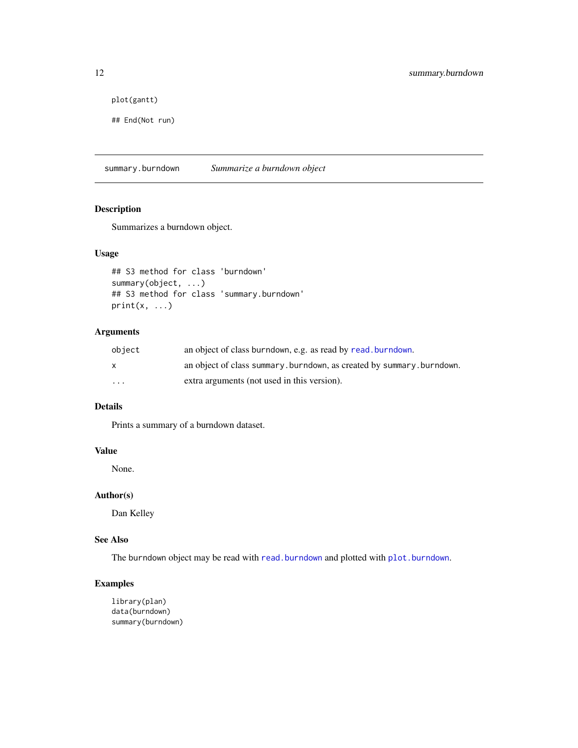```
plot(gantt)
```

```
## End(Not run)
```
<span id="page-11-1"></span>summary.burndown *Summarize a burndown object*

#### Description

Summarizes a burndown object.

#### Usage

```
## S3 method for class 'burndown'
summary(object, ...)
## S3 method for class 'summary.burndown'
print(x, \ldots)
```
#### Arguments

| object   | an object of class burndown, e.g. as read by read, burndown.         |
|----------|----------------------------------------------------------------------|
| X        | an object of class summary.burndown, as created by summary.burndown. |
| $\cdots$ | extra arguments (not used in this version).                          |

#### Details

Prints a summary of a burndown dataset.

#### Value

None.

#### Author(s)

Dan Kelley

#### See Also

The burndown object may be read with [read.burndown](#page-7-1) and plotted with [plot.burndown](#page-4-1).

#### Examples

library(plan) data(burndown) summary(burndown)

<span id="page-11-0"></span>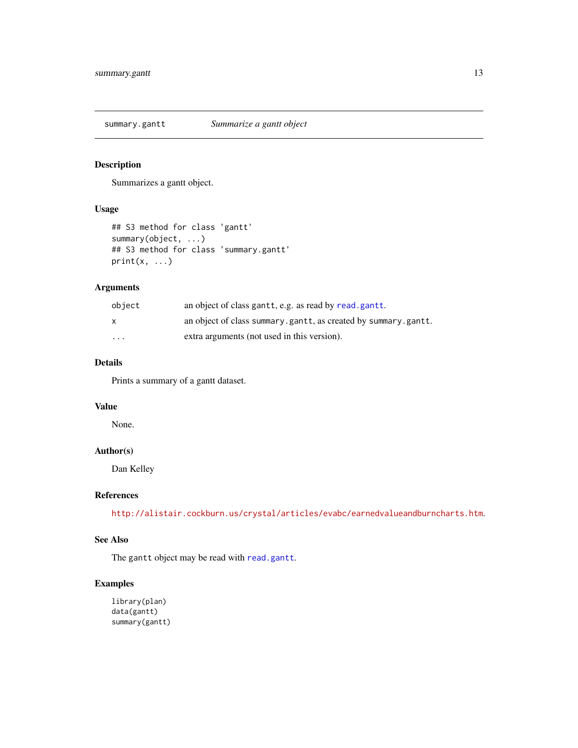<span id="page-12-1"></span><span id="page-12-0"></span>summary.gantt *Summarize a gantt object*

#### Description

Summarizes a gantt object.

#### Usage

```
## S3 method for class 'gantt'
summary(object, ...)
## S3 method for class 'summary.gantt'
print(x, \ldots)
```
#### Arguments

| object                  | an object of class gantt, e.g. as read by read.gantt.          |
|-------------------------|----------------------------------------------------------------|
| X                       | an object of class summary.gantt, as created by summary.gantt. |
| $\cdot$ $\cdot$ $\cdot$ | extra arguments (not used in this version).                    |

#### Details

Prints a summary of a gantt dataset.

#### Value

None.

#### Author(s)

Dan Kelley

#### References

<http://alistair.cockburn.us/crystal/articles/evabc/earnedvalueandburncharts.htm>.

#### See Also

The gantt object may be read with [read.gantt](#page-9-1).

```
library(plan)
data(gantt)
summary(gantt)
```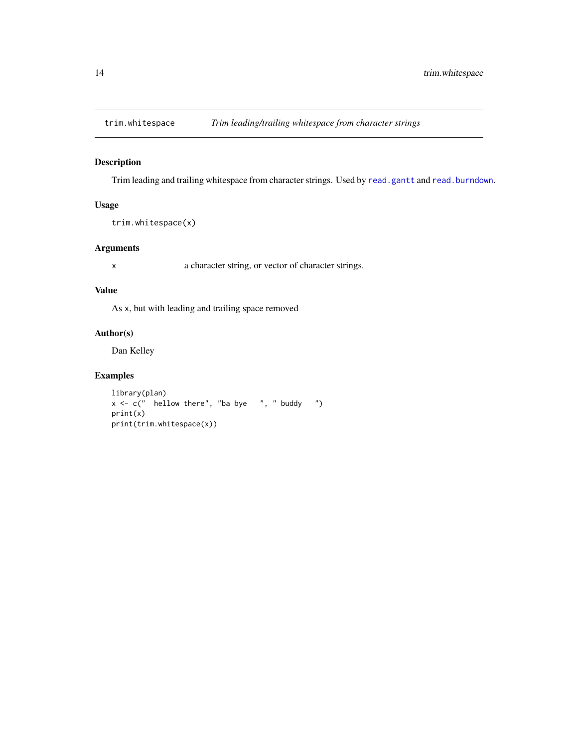<span id="page-13-0"></span>

Trim leading and trailing whitespace from character strings. Used by [read.gantt](#page-9-1) and [read.burndown](#page-7-1).

#### Usage

```
trim.whitespace(x)
```
#### Arguments

x a character string, or vector of character strings.

#### Value

As x, but with leading and trailing space removed

#### Author(s)

Dan Kelley

```
library(plan)
x \leq -c (" hellow there", "ba bye ", " buddy ")
print(x)
print(trim.whitespace(x))
```